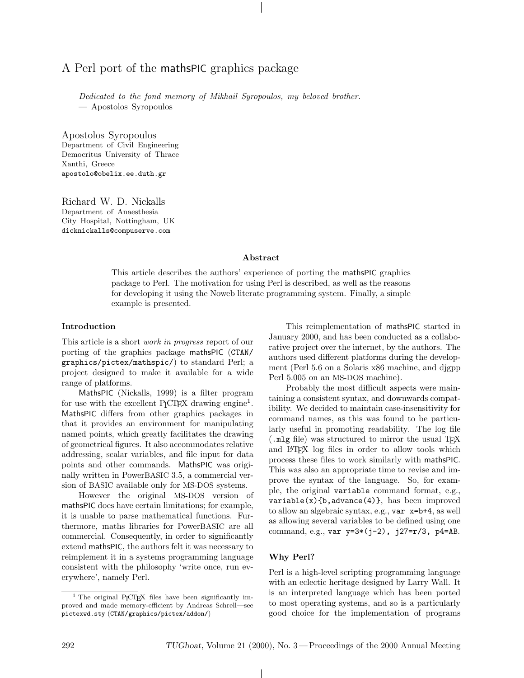# A Perl port of the mathsPIC graphics package

Dedicated to the fond memory of Mikhail Syropoulos, my beloved brother. — Apostolos Syropoulos

Apostolos Syropoulos Department of Civil Engineering Democritus University of Thrace Xanthi, Greece apostolo@obelix.ee.duth.gr

Richard W. D. Nickalls Department of Anaesthesia City Hospital, Nottingham, UK dicknickalls@compuserve.com

## Abstract

This article describes the authors' experience of porting the mathsPIC graphics package to Perl. The motivation for using Perl is described, as well as the reasons for developing it using the Noweb literate programming system. Finally, a simple example is presented.

#### Introduction

This article is a short work in progress report of our porting of the graphics package mathsPIC (CTAN/ graphics/pictex/mathspic/) to standard Perl; a project designed to make it available for a wide range of platforms.

MathsPIC (Nickalls, 1999) is a filter program for use with the excellent P<sub>I</sub>CI<sub>E</sub>X drawing engine<sup>1</sup>. MathsPIC differs from other graphics packages in that it provides an environment for manipulating named points, which greatly facilitates the drawing of geometrical figures. It also accommodates relative addressing, scalar variables, and file input for data points and other commands. MathsPIC was originally written in PowerBASIC 3.5, a commercial version of BASIC available only for MS-DOS systems.

However the original MS-DOS version of mathsPIC does have certain limitations; for example, it is unable to parse mathematical functions. Furthermore, maths libraries for PowerBASIC are all commercial. Consequently, in order to significantly extend mathsPIC, the authors felt it was necessary to reimplement it in a systems programming language consistent with the philosophy 'write once, run everywhere', namely Perl.

This reimplementation of mathsPIC started in January 2000, and has been conducted as a collaborative project over the internet, by the authors. The authors used different platforms during the development (Perl 5.6 on a Solaris x86 machine, and djgpp Perl 5.005 on an MS-DOS machine).

Probably the most difficult aspects were maintaining a consistent syntax, and downwards compatibility. We decided to maintain case-insensitivity for command names, as this was found to be particularly useful in promoting readability. The log file (.mlg file) was structured to mirror the usual T<sub>E</sub>X and L<sup>A</sup>TEX log files in order to allow tools which process these files to work similarly with mathsPIC. This was also an appropriate time to revise and improve the syntax of the language. So, for example, the original variable command format, e.g.,  $variable(x)$ {b, advance(4)}, has been improved to allow an algebraic syntax, e.g., var x=b+4, as well as allowing several variables to be defined using one command, e.g., var y=3\*(j-2), j27=r/3, p4=AB.

### Why Perl?

 $\mathbb{R}$ 

Perl is a high-level scripting programming language with an eclectic heritage designed by Larry Wall. It is an interpreted language which has been ported to most operating systems, and so is a particularly good choice for the implementation of programs

 $1$  The original P<sub>I</sub>CT<sub>E</sub>X files have been significantly improved and made memory-efficient by Andreas Schrell—see pictexwd.sty (CTAN/graphics/pictex/addon/)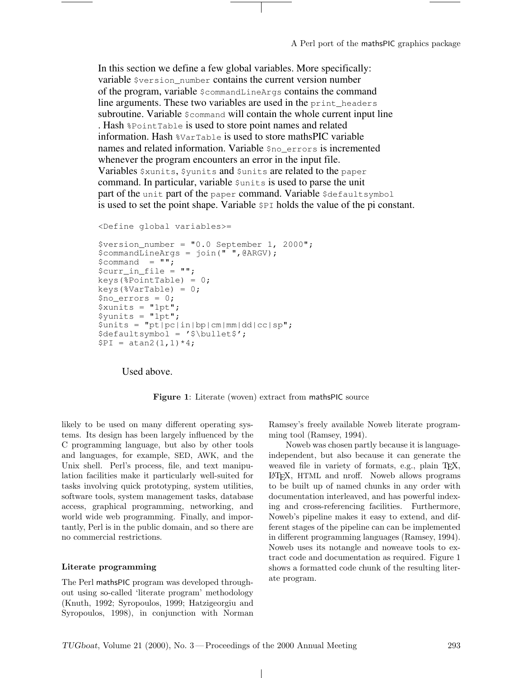In this section we define a few global variables. More specifically: variable \$version\_number contains the current version number of the program, variable \$commandLineArgs contains the command line arguments. These two variables are used in the print\_headers subroutine. Variable  $\epsilon$  command will contain the whole current input line . Hash %PointTable is used to store point names and related information. Hash %VarTable is used to store mathsPIC variable names and related information. Variable \$no\_errors is incremented whenever the program encounters an error in the input file. Variables \$xunits, \$yunits and \$units are related to the paper command. In particular, variable sunits is used to parse the unit part of the unit part of the paper command. Variable  $\beta$ defaultsymbol is used to set the point shape. Variable \$PI holds the value of the pi constant.

```
<Define global variables>=
```

```
$version number = "0.0 September 1, 2000";
$commandLineArgs = join(" ",@ARGV);
$command = "";$curr in file = " ";
keys(%PointTable) = 0;
keys(%VarTable) = 0;
$no\>errors = 0;\sin^{-1} = "1pt";
\frac{1}{2}yunits = "1pt";
\sum_{i=1}^{n} sunits = "pt|pc|in|bp|cm|mm|dd|cc|sp";
$defaultsymbol = '$\bullet$';
$PI = atan2(1,1)*4;
```
Used above.

Figure 1: Literate (woven) extract from mathsPIC source

 $\mathbf{I}$ 

likely to be used on many different operating systems. Its design has been largely influenced by the C programming language, but also by other tools and languages, for example, SED, AWK, and the Unix shell. Perl's process, file, and text manipulation facilities make it particularly well-suited for tasks involving quick prototyping, system utilities, software tools, system management tasks, database access, graphical programming, networking, and world wide web programming. Finally, and importantly, Perl is in the public domain, and so there are no commercial restrictions.

# Literate programming

The Perl mathsPIC program was developed throughout using so-called 'literate program' methodology (Knuth, 1992; Syropoulos, 1999; Hatzigeorgiu and Syropoulos, 1998), in conjunction with Norman Ramsey's freely available Noweb literate programming tool (Ramsey, 1994).

Noweb was chosen partly because it is languageindependent, but also because it can generate the weaved file in variety of formats, e.g., plain TFX, L<sup>A</sup>TEX, HTML and nroff. Noweb allows programs to be built up of named chunks in any order with documentation interleaved, and has powerful indexing and cross-referencing facilities. Furthermore, Noweb's pipeline makes it easy to extend, and different stages of the pipeline can can be implemented in different programming languages (Ramsey, 1994). Noweb uses its notangle and noweave tools to extract code and documentation as required. Figure 1 shows a formatted code chunk of the resulting literate program.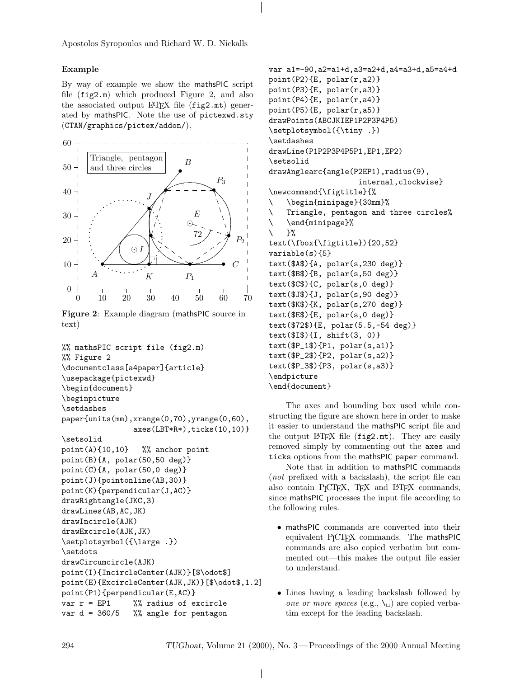Apostolos Syropoulos and Richard W. D. Nickalls

## Example

By way of example we show the mathsPIC script file (fig2.m) which produced Figure 2, and also the associated output  $\mathbb{F}T\mathbb{F}X$  file (fig2.mt) generated by mathsPIC. Note the use of pictexwd.sty (CTAN/graphics/pictex/addon/).



Figure 2: Example diagram (mathsPIC source in text)

```
%% mathsPIC script file (fig2.m)
%% Figure 2
\documentclass[a4paper]{article}
\usepackage{pictexwd}
\begin{document}
\beginpicture
\setdashes
paper{units(mm),xrange(0,70),yrange(0,60),
                axes(LBT*R*),ticks(10,10)}
\setsolid
point(A){10,10} %% anchor point
point(B){A, polar(50,50 deg)}
point(C){A, polar(50,0 deg)}
point(J){pointonline(AB,30)}
point(K){perpendicular(J,AC)}
drawRightangle(JKC,3)
drawLines(AB,AC,JK)
drawIncircle(AJK)
drawExcircle(AJK,JK)
\setplotsymbol({\large .})
\setdots
drawCircumcircle(AJK)
point(I){IncircleCenter(AJK)}[$\odot$]
point(E){ExcircleCenter(AJK,JK)}[$\odot$,1.2]
point(P1){perpendicular(E,AC)}
var r = EP1 %% radius of excircle
var d = 360/5 %% angle for pentagon
```
var a1=-90,a2=a1+d,a3=a2+d,a4=a3+d,a5=a4+d point(P2){E, polar(r,a2)} point(P3){E, polar(r,a3)}  $point(P4)$ {E,  $polar(r, a4)$ }  $point(P5)$ {E,  $polar(r, a5)$ } drawPoints(ABCJKIEP1P2P3P4P5) \setplotsymbol({\tiny .}) \setdashes drawLine(P1P2P3P4P5P1,EP1,EP2) \setsolid drawAnglearc{angle(P2EP1),radius(9), internal,clockwise} \newcommand{\figtitle}{% \ \begin{minipage}{30mm}% \ Triangle, pentagon and three circles% \ \end{minipage}%  $\setminus$  }% text(\fbox{\figtitle}){20,52} variable(s){5} text(\$A\$){A, polar(s,230 deg)} text(\$B\$){B, polar(s,50 deg)} text(\$C\$){C, polar(s,0 deg)} text(\$J\$){J, polar(s,90 deg)} text(\$K\$){K, polar(s,270 deg)} text(\$E\$){E, polar(s,0 deg)} text(\$72\$){E, polar(5.5,-54 deg)} text(\$I\$){I, shift(3, 0)}  $text ($P_1$) {P1, polar(s,a1)}$ text(\$P\_2\$){P2, polar(s,a2)} text(\$P\_3\$){P3, polar(s,a3)} \endpicture \end{document}

The axes and bounding box used while constructing the figure are shown here in order to make it easier to understand the mathsPIC script file and the output L<sup>AT</sup>EX file (fig2.mt). They are easily removed simply by commenting out the axes and ticks options from the mathsPIC paper command.

Note that in addition to mathsPIC commands (not prefixed with a backslash), the script file can also contain P<sub>I</sub>CT<sub>F</sub>X, T<sub>F</sub>X and L<sup>A</sup>T<sub>F</sub>X commands, since mathsPIC processes the input file according to the following rules.

- mathsPIC commands are converted into their equivalent P<sub>I</sub>CT<sub>E</sub>X commands. The mathsPIC commands are also copied verbatim but commented out—this makes the output file easier to understand.
- Lines having a leading backslash followed by one or more spaces (e.g.,  $\setminus_{\sqcup}$ ) are copied verbatim except for the leading backslash.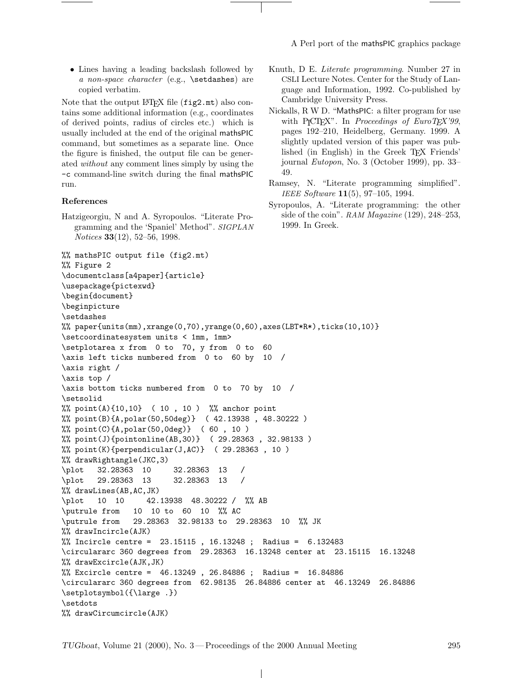A Perl port of the mathsPIC graphics package

• Lines having a leading backslash followed by a non-space character (e.g., \setdashes) are copied verbatim.

Note that the output LAT<sub>E</sub>X file  $(fig2.mt)$  also contains some additional information (e.g., coordinates of derived points, radius of circles etc.) which is usually included at the end of the original mathsPIC command, but sometimes as a separate line. Once the figure is finished, the output file can be generated without any comment lines simply by using the -c command-line switch during the final mathsPIC run.

#### References

Hatzigeorgiu, N and A. Syropoulos. "Literate Programming and the 'Spaniel' Method". SIGPLAN Notices 33(12), 52–56, 1998.

- Knuth, D E. Literate programming. Number 27 in CSLI Lecture Notes. Center for the Study of Language and Information, 1992. Co-published by Cambridge University Press.
- Nickalls, R W D. "MathsPIC: a filter program for use with P<sub>I</sub>CT<sub>E</sub>X". In Proceedings of EuroT<sub>E</sub>X'99, pages 192–210, Heidelberg, Germany. 1999. A slightly updated version of this paper was published (in English) in the Greek TEX Friends' journal Eutopon, No. 3 (October 1999), pp. 33– 49.
- Ramsey, N. "Literate programming simplified". IEEE Software 11(5), 97–105, 1994.
- Syropoulos, A. "Literate programming: the other side of the coin". RAM Magazine (129), 248–253, 1999. In Greek.

```
%% mathsPIC output file (fig2.mt)
%% Figure 2
\documentclass[a4paper]{article}
\usepackage{pictexwd}
\begin{document}
\beginpicture
\setdashes
%% paper{units(mm),xrange(0,70),yrange(0,60),axes(LBT*R*),ticks(10,10)}
\setcoordinatesystem units < 1mm, 1mm>
\setplotarea x from 0 to 70, y from 0 to 60
\axis left ticks numbered from 0 to 60 by 10 /
\axis right /
\axis top /
\axis bottom ticks numbered from 0 to 70 by 10 /
\setsolid
%% point(A){10,10} ( 10 , 10 ) %% anchor point
%% point(B){A,polar(50,50deg)} ( 42.13938 , 48.30222 )
%% point(C){A,polar(50,0deg)} ( 60 , 10 )
%% point(J){pointonline(AB,30)} ( 29.28363 , 32.98133 )
\frac{1}{2} point(K){perpendicular(J,AC)} (29.28363, 10)
%% drawRightangle(JKC,3)
\plot 32.28363 10 32.28363 13 /
\plot 29.28363 13 32.28363 13 /
%% drawLines(AB,AC,JK)
\plot 10 10 42.13938 48.30222 / %% AB
\putrule from 10 10 to 60 10 %% AC
\putrule from 29.28363 32.98133 to 29.28363 10 %% JK
%% drawIncircle(AJK)
%% Incircle centre = 23.15115 , 16.13248 ; Radius = 6.132483
\circulararc 360 degrees from 29.28363 16.13248 center at 23.15115 16.13248
%% drawExcircle(AJK,JK)
%% Excircle centre = 46.13249 , 26.84886 ; Radius = 16.84886
\circulararc 360 degrees from 62.98135 26.84886 center at 46.13249 26.84886
\setplotsymbol({\large .})
\setdots
%% drawCircumcircle(AJK)
```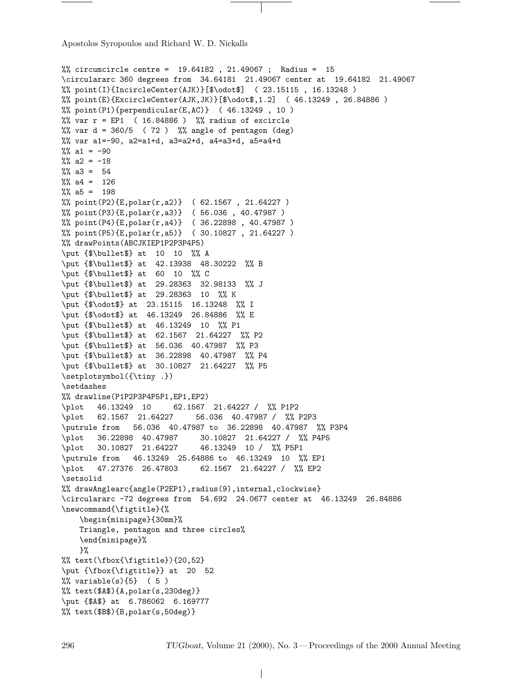Apostolos Syropoulos and Richard W. D. Nickalls

```
%% circumcircle centre = 19.64182 , 21.49067 ; Radius = 15
\circulararc 360 degrees from 34.64181 21.49067 center at 19.64182 21.49067
%% point(I){IncircleCenter(AJK)}[$\odot$] ( 23.15115 , 16.13248 )
%% point(E){ExcircleCenter(AJK,JK)}[$\odot$,1.2] ( 46.13249 , 26.84886 )
%% point(P1){perpendicular(E,AC)} (46.13249, 10)%% var r = EP1 ( 16.84886 ) %% radius of excircle
%% var d = 360/5 (72) %% angle of pentagon (deg)
%% var a1=-90, a2=a1+d, a3=a2+d, a4=a3+d, a5=a4+d
\frac{1}{6} a1 = -90
\frac{1}{2}% a2 = -18
% a3 = 54% a4 = 126% a5 = 198%% point(P2){E,polar(r,a2)} ( 62.1567 , 21.64227 )
%% point(P3)\{E, polar(r, a3)\} (56.036, 40.47987)
%% point(P4){E,polar(r,a4)} ( 36.22898 , 40.47987 )
%% point(P5){E,polar(r,a5)} ( 30.10827 , 21.64227 )
%% drawPoints(ABCJKIEP1P2P3P4P5)
\put {$\bullet$} at 10 10 %% A
\put {$\bullet$} at 42.13938 48.30222 %% B
\put {$\bullet$} at 60 10 %% C
\put {$\bullet$} at 29.28363 32.98133 %% J
\put {$\bullet$} at 29.28363 10 %% K
\put {$\odot$} at 23.15115 16.13248 %% I
\put {$\odot$} at 46.13249 26.84886 %% E
\put {$\bullet$} at 46.13249 10 %% P1
\put {$\bullet$} at 62.1567 21.64227 %% P2
\put {$\bullet$} at 56.036 40.47987 %% P3
\put {$\bullet$} at 36.22898 40.47987 %% P4
\put {$\bullet$} at 30.10827 21.64227 %% P5
\setplotsymbol({\tiny .})
\setdashes
%% drawline(P1P2P3P4P5P1,EP1,EP2)
\plot 46.13249 10 62.1567 21.64227 / %% P1P2
\plot 62.1567 21.64227 56.036 40.47987 / %% P2P3
\putrule from 56.036 40.47987 to 36.22898 40.47987 %% P3P4
\plot 36.22898 40.47987 30.10827 21.64227 / %% P4P5
\plot 30.10827 21.64227 46.13249 10 / %% P5P1
\putrule from 46.13249 25.64886 to 46.13249 10 %% EP1
\plot 47.27376 26.47803 62.1567 21.64227 / %% EP2
\setsolid
%% drawAnglearc{angle(P2EP1),radius(9),internal,clockwise}
\circulararc -72 degrees from 54.692 24.0677 center at 46.13249 26.84886
\newcommand{\figtitle}{%
   \begin{minipage}{30mm}%
   Triangle, pentagon and three circles%
   \end{minipage}%
   }%
%% text(\fbox{\figtitle}){20,52}
\put {\fbox{\figtitle}} at 20 52
% variable(s)\{5\} (5)
% text($A$){A,polar(s,230deg)}
\put {$A$} at 6.786062 6.169777
%% text($B$){B,polar(s,50deg)}
```
 $\overline{1}$